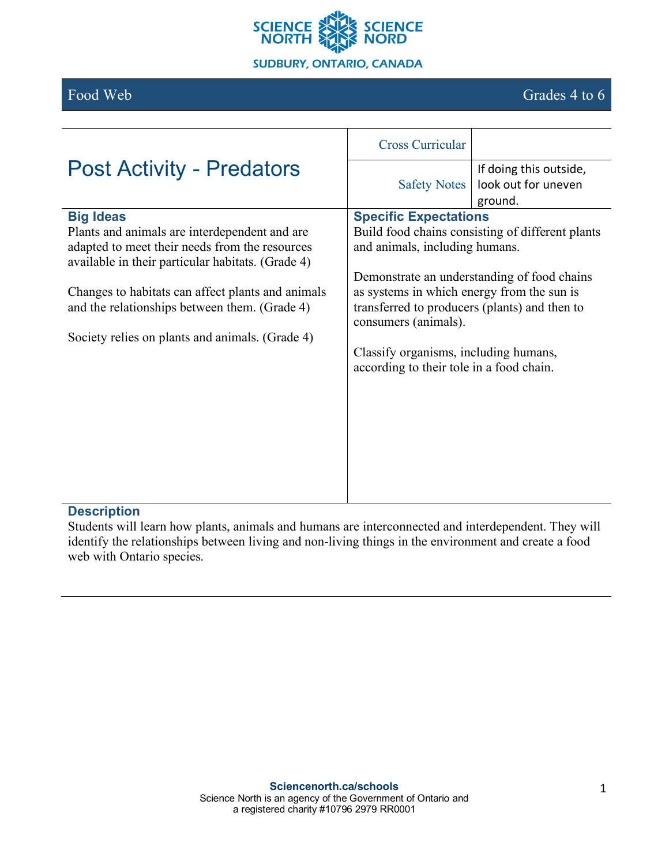

# Food Web Grades 4 to 6

|                                                   | <b>Cross Curricular</b>                                               |                                |
|---------------------------------------------------|-----------------------------------------------------------------------|--------------------------------|
| <b>Post Activity - Predators</b>                  | <b>Safety Notes</b>                                                   | If doing this outside,         |
|                                                   |                                                                       | look out for uneven<br>ground. |
| <b>Big Ideas</b>                                  | <b>Specific Expectations</b>                                          |                                |
| Plants and animals are interdependent and are     | Build food chains consisting of different plants                      |                                |
| adapted to meet their needs from the resources    | and animals, including humans.                                        |                                |
| available in their particular habitats. (Grade 4) |                                                                       |                                |
|                                                   | Demonstrate an understanding of food chains                           |                                |
| Changes to habitats can affect plants and animals | as systems in which energy from the sun is                            |                                |
| and the relationships between them. (Grade 4)     | transferred to producers (plants) and then to<br>consumers (animals). |                                |
| Society relies on plants and animals. (Grade 4)   |                                                                       |                                |
|                                                   | Classify organisms, including humans,                                 |                                |
|                                                   | according to their tole in a food chain.                              |                                |
|                                                   |                                                                       |                                |
|                                                   |                                                                       |                                |
|                                                   |                                                                       |                                |
|                                                   |                                                                       |                                |
|                                                   |                                                                       |                                |
|                                                   |                                                                       |                                |

### **Description**

Students will learn how plants, animals and humans are interconnected and interdependent. They will identify the relationships between living and non-living things in the environment and create a food web with Ontario species.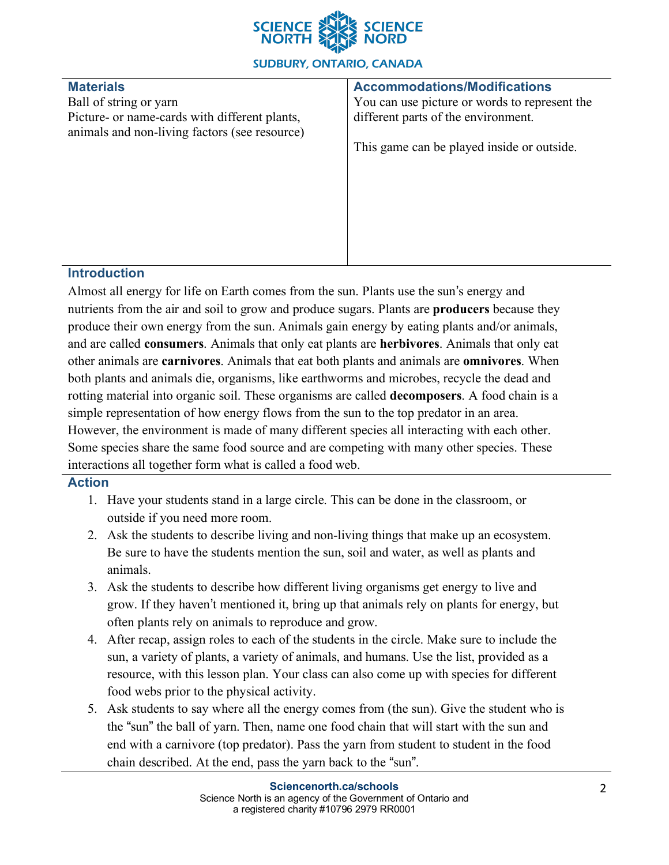

#### **SUDBURY, ONTARIO, CANADA**

# **Materials**

Ball of string or yarn Picture- or name-cards with different plants, animals and non-living factors (see resource)

#### **Accommodations/Modifications**

You can use picture or words to represent the different parts of the environment.

This game can be played inside or outside.

# **Introduction**

Almost all energy for life on Earth comes from the sun. Plants use the sun's energy and nutrients from the air and soil to grow and produce sugars. Plants are **producers** because they produce their own energy from the sun. Animals gain energy by eating plants and/or animals, and are called **consumers**. Animals that only eat plants are **herbivores**. Animals that only eat other animals are **carnivores**. Animals that eat both plants and animals are **omnivores**. When both plants and animals die, organisms, like earthworms and microbes, recycle the dead and rotting material into organic soil. These organisms are called **decomposers**. A food chain is a simple representation of how energy flows from the sun to the top predator in an area. However, the environment is made of many different species all interacting with each other. Some species share the same food source and are competing with many other species. These interactions all together form what is called a food web.

### **Action**

- 1. Have your students stand in a large circle. This can be done in the classroom, or outside if you need more room.
- 2. Ask the students to describe living and non-living things that make up an ecosystem. Be sure to have the students mention the sun, soil and water, as well as plants and animals.
- 3. Ask the students to describe how different living organisms get energy to live and grow. If they haven't mentioned it, bring up that animals rely on plants for energy, but often plants rely on animals to reproduce and grow.
- 4. After recap, assign roles to each of the students in the circle. Make sure to include the sun, a variety of plants, a variety of animals, and humans. Use the list, provided as a resource, with this lesson plan. Your class can also come up with species for different food webs prior to the physical activity.
- 5. Ask students to say where all the energy comes from (the sun). Give the student who is the "sun" the ball of yarn. Then, name one food chain that will start with the sun and end with a carnivore (top predator). Pass the yarn from student to student in the food chain described. At the end, pass the yarn back to the "sun".